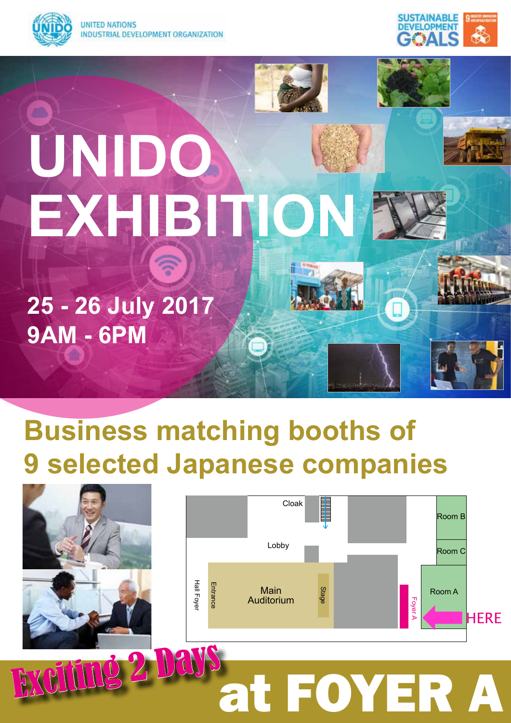



# **UNIDO EXHIBITION**

**25 - 26 July 2017 9AM - 6PM**

# **Business matching booths of 9 selected Japanese companies**